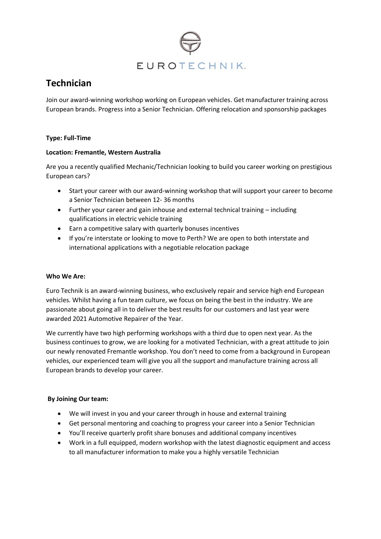

# **Technician**

Join our award-winning workshop working on European vehicles. Get manufacturer training across European brands. Progress into a Senior Technician. Offering relocation and sponsorship packages

## **Type: Full-Time**

#### **Location: Fremantle, Western Australia**

Are you a recently qualified Mechanic/Technician looking to build you career working on prestigious European cars?

- Start your career with our award-winning workshop that will support your career to become a Senior Technician between 12- 36 months
- Further your career and gain inhouse and external technical training including qualifications in electric vehicle training
- Earn a competitive salary with quarterly bonuses incentives
- If you're interstate or looking to move to Perth? We are open to both interstate and international applications with a negotiable relocation package

#### **Who We Are:**

Euro Technik is an award-winning business, who exclusively repair and service high end European vehicles. Whilst having a fun team culture, we focus on being the best in the industry. We are passionate about going all in to deliver the best results for our customers and last year were awarded 2021 Automotive Repairer of the Year.

We currently have two high performing workshops with a third due to open next year. As the business continues to grow, we are looking for a motivated Technician, with a great attitude to join our newly renovated Fremantle workshop. You don't need to come from a background in European vehicles, our experienced team will give you all the support and manufacture training across all European brands to develop your career.

## **By Joining Our team:**

- We will invest in you and your career through in house and external training
- Get personal mentoring and coaching to progress your career into a Senior Technician
- You'll receive quarterly profit share bonuses and additional company incentives
- Work in a full equipped, modern workshop with the latest diagnostic equipment and access to all manufacturer information to make you a highly versatile Technician